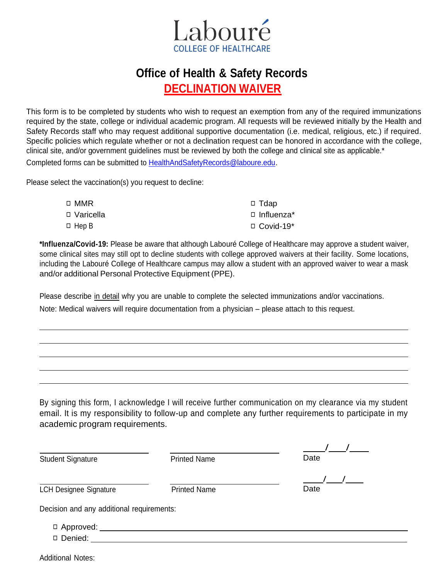

## **Office of Health & Safety Records DECLINATION WAIVER**

This form is to be completed by students who wish to request an exemption from any of the required immunizations required by the state, college or individual academic program. All requests will be reviewed initially by the Health and Safety Records staff who may request additional supportive documentation (i.e. medical, religious, etc.) if required. Specific policies which regulate whether or not a declination request can be honored in accordance with the college, clinical site, and/or government guidelines must be reviewed by both the college and clinical site as applicable.\* Completed forms can be submitted to [HealthAndSafetyRecords@laboure.edu.](mailto:HealthAndSafetyRecords@laboure.edu)

Please select the vaccination(s) you request to decline:

| □ MMR        | $\Box$ Tdap      |
|--------------|------------------|
| □ Varicella  | □ Influenza*     |
| $\Box$ Hep B | $\Box$ Covid-19* |

**\*Influenza/Covid-19:** Please be aware that although Labouré College of Healthcare may approve a student waiver, some clinical sites may still opt to decline students with college approved waivers at their facility. Some locations, including the Labouré College of Healthcare campus may allow a student with an approved waiver to wear a mask and/or additional Personal Protective Equipment (PPE).

Please describe in detail why you are unable to complete the selected immunizations and/or vaccinations.

Note: Medical waivers will require documentation from a physician – please attach to this request.

By signing this form, I acknowledge I will receive further communication on my clearance via my student email. It is my responsibility to follow-up and complete any further requirements to participate in my academic program requirements.

| <b>Student Signature</b>                  | <b>Printed Name</b> | Date |
|-------------------------------------------|---------------------|------|
|                                           |                     |      |
| <b>LCH Designee Signature</b>             | <b>Printed Name</b> | Date |
| Decision and any additional requirements: |                     |      |
| $\Box$ Approved:                          |                     |      |
| Denied:                                   |                     |      |

Additional Notes: